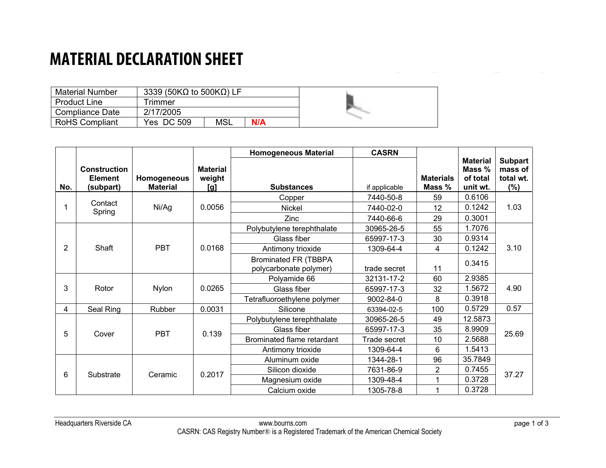### **MATERIAL DECLARATION SHEET**

| <b>Material Number</b> | 3339 (50K $\Omega$ to 500K $\Omega$ ) LF |     |     |  |
|------------------------|------------------------------------------|-----|-----|--|
| <b>Product Line</b>    | Trimmer                                  |     |     |  |
| Compliance Date        | 2/17/2005                                |     |     |  |
| <b>RoHS Compliant</b>  | Yes DC 509                               | MSL | N/A |  |

|                |                                                    |                                |                                  | <b>Homogeneous Material</b>                           | <b>CASRN</b>  |                            |                                                   |                                               |
|----------------|----------------------------------------------------|--------------------------------|----------------------------------|-------------------------------------------------------|---------------|----------------------------|---------------------------------------------------|-----------------------------------------------|
| No.            | <b>Construction</b><br><b>Element</b><br>(subpart) | Homogeneous<br><b>Material</b> | <b>Material</b><br>weight<br>[g] | <b>Substances</b>                                     | if applicable | <b>Materials</b><br>Mass % | <b>Material</b><br>Mass %<br>of total<br>unit wt. | <b>Subpart</b><br>mass of<br>total wt.<br>(%) |
|                |                                                    |                                |                                  | Copper                                                | 7440-50-8     | 59                         | 0.6106                                            |                                               |
|                | Contact<br>Spring                                  | Ni/Ag                          | 0.0056                           | Nickel                                                | 7440-02-0     | 12                         | 0.1242                                            | 1.03                                          |
|                |                                                    |                                |                                  | Zinc                                                  | 7440-66-6     | 29                         | 0.3001                                            |                                               |
|                |                                                    |                                |                                  | Polybutylene terephthalate                            | 30965-26-5    | 55                         | 1.7076                                            |                                               |
|                |                                                    |                                |                                  | Glass fiber                                           | 65997-17-3    | 30                         | 0.9314                                            |                                               |
| $\overline{2}$ | Shaft                                              | <b>PBT</b>                     | 0.0168                           | Antimony trioxide                                     | 1309-64-4     | 4                          | 0.1242                                            | 3.10                                          |
|                |                                                    |                                |                                  | <b>Brominated FR (TBBPA</b><br>polycarbonate polymer) | trade secret  | 11                         | 0.3415                                            |                                               |
|                |                                                    |                                |                                  | Polyamide 66                                          | 32131-17-2    | 60                         | 2.9385                                            |                                               |
| 3              | Rotor                                              | <b>Nylon</b>                   | 0.0265                           | Glass fiber                                           | 65997-17-3    | 32                         | 1.5672                                            | 4.90                                          |
|                |                                                    |                                |                                  | Tetrafluoroethylene polymer                           | 9002-84-0     | 8                          | 0.3918                                            |                                               |
| 4              | Seal Ring                                          | Rubber                         | 0.0031                           | Silicone                                              | 63394-02-5    | 100                        | 0.5729                                            | 0.57                                          |
|                |                                                    |                                |                                  | Polybutylene terephthalate                            | 30965-26-5    | 49                         | 12.5873                                           | 25.69                                         |
| 5              | Cover                                              | <b>PBT</b>                     | 0.139                            | Glass fiber                                           | 65997-17-3    | 35                         | 8.9909                                            |                                               |
|                |                                                    |                                |                                  | Brominated flame retardant                            | Trade secret  | 10                         | 2.5688<br>1.5413<br>6                             |                                               |
|                |                                                    |                                |                                  | Antimony trioxide                                     | 1309-64-4     |                            |                                                   |                                               |
|                |                                                    |                                |                                  | Aluminum oxide                                        | 1344-28-1     | 96                         | 35.7849                                           |                                               |
| 6              | Substrate                                          | Ceramic                        | 0.2017                           | Silicon dioxide                                       | 7631-86-9     | 2                          | 0.7455                                            | 37.27                                         |
|                |                                                    |                                |                                  | Magnesium oxide                                       | 1309-48-4     | 1                          | 0.3728                                            |                                               |
|                |                                                    |                                |                                  | Calcium oxide                                         | 1305-78-8     |                            | 0.3728                                            |                                               |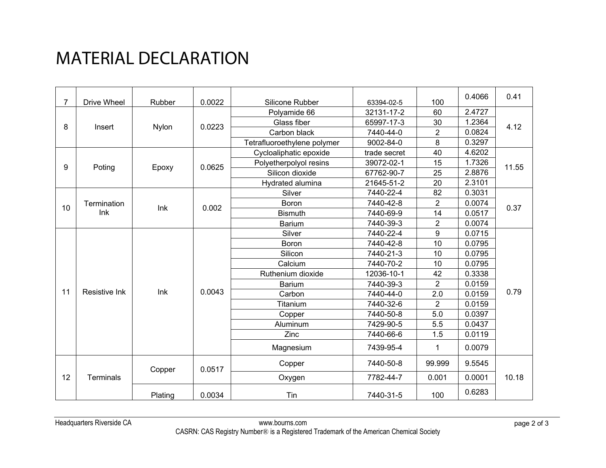# MATERIAL DECLARATION

| 7  | <b>Drive Wheel</b> | Rubber       | 0.0022 | Silicone Rubber             | 63394-02-5   | 100            | 0.4066 | 0.41  |
|----|--------------------|--------------|--------|-----------------------------|--------------|----------------|--------|-------|
|    |                    |              |        | Polyamide 66                | 32131-17-2   | 60             | 2.4727 |       |
| 8  | Insert             |              | 0.0223 | Glass fiber                 | 65997-17-3   | 30             | 1.2364 | 4.12  |
|    |                    | <b>Nylon</b> |        | Carbon black                | 7440-44-0    | $\overline{c}$ | 0.0824 |       |
|    |                    |              |        | Tetrafluoroethylene polymer | 9002-84-0    | 8              | 0.3297 |       |
|    |                    |              |        | Cycloaliphatic epoxide      | trade secret | 40             | 4.6202 | 11.55 |
| 9  |                    |              | 0.0625 | Polyetherpolyol resins      | 39072-02-1   | 15             | 1.7326 |       |
|    | Poting             | Epoxy        |        | Silicon dioxide             | 67762-90-7   | 25             | 2.8876 |       |
|    |                    |              |        | Hydrated alumina            | 21645-51-2   | 20             | 2.3101 |       |
|    |                    |              |        | Silver                      | 7440-22-4    | 82             | 0.3031 |       |
| 10 | Termination        | Ink          | 0.002  | Boron                       | 7440-42-8    | $\overline{2}$ | 0.0074 | 0.37  |
|    | Ink                |              |        | <b>Bismuth</b>              | 7440-69-9    | 14             | 0.0517 |       |
|    |                    |              |        | <b>Barium</b>               | 7440-39-3    | $\overline{2}$ | 0.0074 |       |
|    | Resistive Ink      | Ink          |        | Silver                      | 7440-22-4    | 9              | 0.0715 | 0.79  |
|    |                    |              |        | <b>Boron</b>                | 7440-42-8    | 10             | 0.0795 |       |
|    |                    |              |        | Silicon                     | 7440-21-3    | 10             | 0.0795 |       |
|    |                    |              |        | Calcium                     | 7440-70-2    | 10             | 0.0795 |       |
|    |                    |              |        | Ruthenium dioxide           | 12036-10-1   | 42             | 0.3338 |       |
|    |                    |              |        | <b>Barium</b>               | 7440-39-3    | $\overline{2}$ | 0.0159 |       |
| 11 |                    |              | 0.0043 | Carbon                      | 7440-44-0    | 2.0            | 0.0159 |       |
|    |                    |              |        | Titanium                    | 7440-32-6    | 2              | 0.0159 |       |
|    |                    |              |        | Copper                      | 7440-50-8    | 5.0            | 0.0397 |       |
|    |                    |              |        | Aluminum                    | 7429-90-5    | 5.5            | 0.0437 |       |
|    |                    |              |        | <b>Zinc</b>                 | 7440-66-6    | 1.5            | 0.0119 |       |
|    |                    |              |        | Magnesium                   | 7439-95-4    | $\mathbf 1$    | 0.0079 |       |
|    | Terminals          | Copper       | 0.0517 | Copper                      | 7440-50-8    | 99.999         | 9.5545 | 10.18 |
| 12 |                    |              |        | Oxygen                      | 7782-44-7    | 0.001          | 0.0001 |       |
|    |                    | Plating      | 0.0034 | Tin                         | 7440-31-5    | 100            | 0.6283 |       |